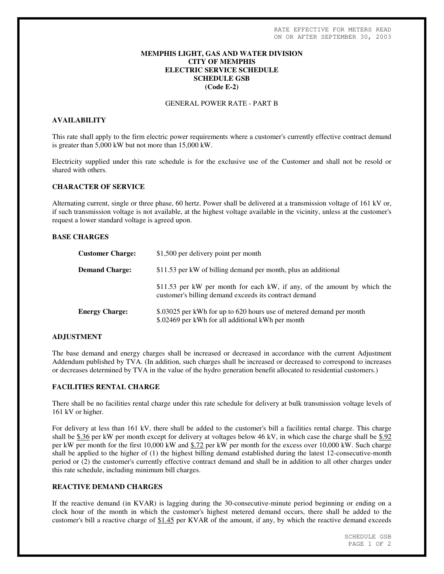# **MEMPHIS LIGHT, GAS AND WATER DIVISION CITY OF MEMPHIS ELECTRIC SERVICE SCHEDULE SCHEDULE GSB (Code E-2)**

# GENERAL POWER RATE - PART B

# **AVAILABILITY**

This rate shall apply to the firm electric power requirements where a customer's currently effective contract demand is greater than 5,000 kW but not more than 15,000 kW.

Electricity supplied under this rate schedule is for the exclusive use of the Customer and shall not be resold or shared with others.

#### **CHARACTER OF SERVICE**

Alternating current, single or three phase, 60 hertz. Power shall be delivered at a transmission voltage of 161 kV or, if such transmission voltage is not available, at the highest voltage available in the vicinity, unless at the customer's request a lower standard voltage is agreed upon.

# **BASE CHARGES**

| <b>Customer Charge:</b> | \$1,500 per delivery point per month                                                                                              |
|-------------------------|-----------------------------------------------------------------------------------------------------------------------------------|
| <b>Demand Charge:</b>   | \$11.53 per kW of billing demand per month, plus an additional                                                                    |
|                         | \$11.53 per kW per month for each kW, if any, of the amount by which the<br>customer's billing demand exceeds its contract demand |
| <b>Energy Charge:</b>   | \$.03025 per kWh for up to 620 hours use of metered demand per month<br>\$.02469 per kWh for all additional kWh per month         |

#### **ADJUSTMENT**

The base demand and energy charges shall be increased or decreased in accordance with the current Adjustment Addendum published by TVA. (In addition, such charges shall be increased or decreased to correspond to increases or decreases determined by TVA in the value of the hydro generation benefit allocated to residential customers.)

## **FACILITIES RENTAL CHARGE**

There shall be no facilities rental charge under this rate schedule for delivery at bulk transmission voltage levels of 161 kV or higher.

For delivery at less than 161 kV, there shall be added to the customer's bill a facilities rental charge. This charge shall be \$.36 per kW per month except for delivery at voltages below 46 kV, in which case the charge shall be \$.92 per kW per month for the first 10,000 kW and \$.72 per kW per month for the excess over 10,000 kW. Such charge shall be applied to the higher of (1) the highest billing demand established during the latest 12-consecutive-month period or (2) the customer's currently effective contract demand and shall be in addition to all other charges under this rate schedule, including minimum bill charges.

# **REACTIVE DEMAND CHARGES**

If the reactive demand (in KVAR) is lagging during the 30-consecutive-minute period beginning or ending on a clock hour of the month in which the customer's highest metered demand occurs, there shall be added to the customer's bill a reactive charge of \$1.45 per KVAR of the amount, if any, by which the reactive demand exceeds